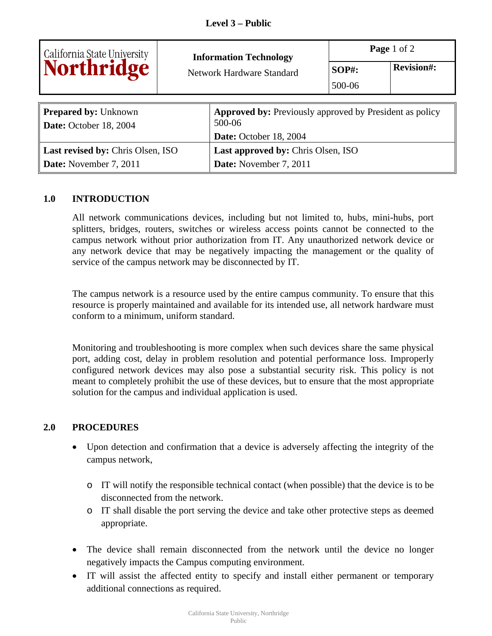|                                           | <b>Information Technology</b> |                                                                | Page 1 of 2  |                   |  |
|-------------------------------------------|-------------------------------|----------------------------------------------------------------|--------------|-------------------|--|
| California State University<br>Northridge |                               | Network Hardware Standard                                      | <b>SOP#:</b> | <b>Revision#:</b> |  |
|                                           |                               |                                                                | 500-06       |                   |  |
|                                           |                               |                                                                |              |                   |  |
| <b>Prepared by: Unknown</b>               |                               | <b>Approved by:</b> Previously approved by President as policy |              |                   |  |
| Date: October 18, 2004                    |                               | 500-06                                                         |              |                   |  |
|                                           |                               | Date: October 18, 2004                                         |              |                   |  |
| <b>Last revised by: Chris Olsen, ISO</b>  |                               | <b>Last approved by: Chris Olsen, ISO</b>                      |              |                   |  |
| Date: November 7, 2011                    |                               | Date: November 7, 2011                                         |              |                   |  |

## **1.0 INTRODUCTION**

All network communications devices, including but not limited to, hubs, mini-hubs, port splitters, bridges, routers, switches or wireless access points cannot be connected to the campus network without prior authorization from IT. Any unauthorized network device or any network device that may be negatively impacting the management or the quality of service of the campus network may be disconnected by IT.

The campus network is a resource used by the entire campus community. To ensure that this resource is properly maintained and available for its intended use, all network hardware must conform to a minimum, uniform standard.

Monitoring and troubleshooting is more complex when such devices share the same physical port, adding cost, delay in problem resolution and potential performance loss. Improperly configured network devices may also pose a substantial security risk. This policy is not meant to completely prohibit the use of these devices, but to ensure that the most appropriate solution for the campus and individual application is used.

## **2.0 PROCEDURES**

- Upon detection and confirmation that a device is adversely affecting the integrity of the campus network,
	- o IT will notify the responsible technical contact (when possible) that the device is to be disconnected from the network.
	- o IT shall disable the port serving the device and take other protective steps as deemed appropriate.
- The device shall remain disconnected from the network until the device no longer negatively impacts the Campus computing environment.
- IT will assist the affected entity to specify and install either permanent or temporary additional connections as required.